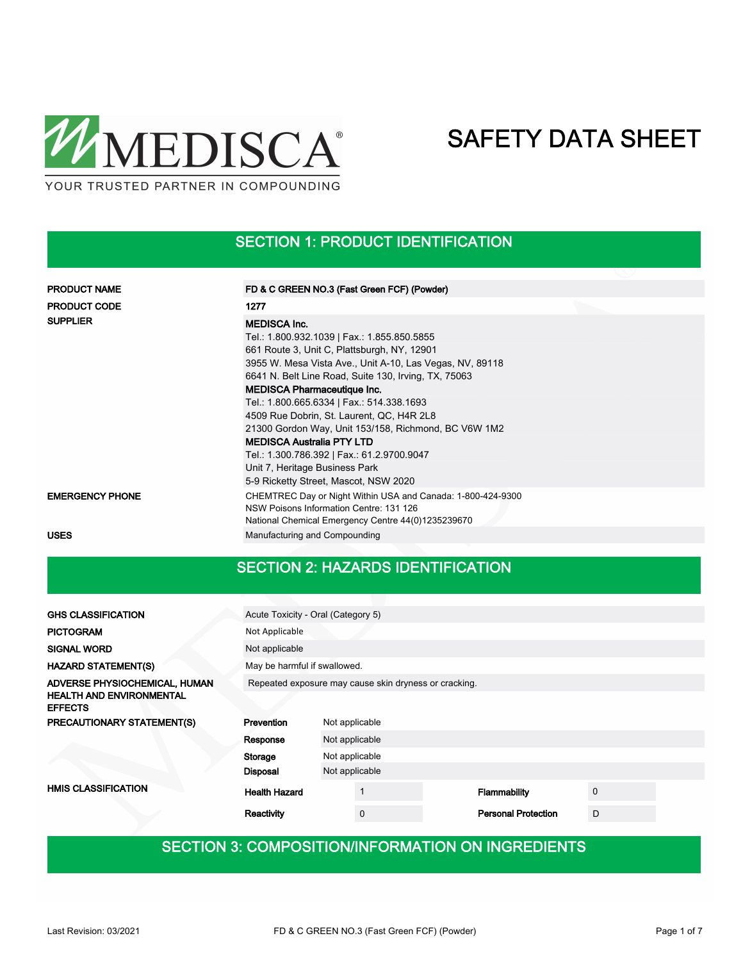

SECTION 1: PRODUCT IDENTIFICATION

| <b>PRODUCT NAME</b>    | FD & C GREEN NO.3 (Fast Green FCF) (Powder)                                                                                                                  |  |
|------------------------|--------------------------------------------------------------------------------------------------------------------------------------------------------------|--|
| <b>PRODUCT CODE</b>    | 1277                                                                                                                                                         |  |
| <b>SUPPLIER</b>        | <b>MEDISCA Inc.</b>                                                                                                                                          |  |
|                        | Tel.: 1.800.932.1039   Fax.: 1.855.850.5855                                                                                                                  |  |
|                        | 661 Route 3, Unit C, Plattsburgh, NY, 12901                                                                                                                  |  |
|                        | 3955 W. Mesa Vista Ave., Unit A-10, Las Vegas, NV, 89118                                                                                                     |  |
|                        | 6641 N. Belt Line Road, Suite 130, Irving, TX, 75063                                                                                                         |  |
|                        | <b>MEDISCA Pharmaceutique Inc.</b>                                                                                                                           |  |
|                        | Tel.: 1.800.665.6334   Fax.: 514.338.1693                                                                                                                    |  |
|                        | 4509 Rue Dobrin, St. Laurent, QC, H4R 2L8                                                                                                                    |  |
|                        | 21300 Gordon Way, Unit 153/158, Richmond, BC V6W 1M2                                                                                                         |  |
|                        | <b>MEDISCA Australia PTY LTD</b>                                                                                                                             |  |
|                        | Tel.: 1.300.786.392   Fax.: 61.2.9700.9047                                                                                                                   |  |
|                        | Unit 7, Heritage Business Park                                                                                                                               |  |
|                        | 5-9 Ricketty Street, Mascot, NSW 2020                                                                                                                        |  |
| <b>EMERGENCY PHONE</b> | CHEMTREC Day or Night Within USA and Canada: 1-800-424-9300<br>NSW Poisons Information Centre: 131 126<br>National Chemical Emergency Centre 44(0)1235239670 |  |
| <b>USES</b>            | Manufacturing and Compounding                                                                                                                                |  |

#### SECTION 2: HAZARDS IDENTIFICATION

| <b>GHS CLASSIFICATION</b>                                        | Acute Toxicity - Oral (Category 5)                    |                              |             |  |                            |             |  |  |
|------------------------------------------------------------------|-------------------------------------------------------|------------------------------|-------------|--|----------------------------|-------------|--|--|
| <b>PICTOGRAM</b>                                                 | Not Applicable                                        |                              |             |  |                            |             |  |  |
| <b>SIGNAL WORD</b>                                               | Not applicable                                        |                              |             |  |                            |             |  |  |
| <b>HAZARD STATEMENT(S)</b>                                       |                                                       | May be harmful if swallowed. |             |  |                            |             |  |  |
| ADVERSE PHYSIOCHEMICAL, HUMAN<br><b>HEALTH AND ENVIRONMENTAL</b> | Repeated exposure may cause skin dryness or cracking. |                              |             |  |                            |             |  |  |
| <b>EFFECTS</b>                                                   |                                                       |                              |             |  |                            |             |  |  |
| PRECAUTIONARY STATEMENT(S)                                       | <b>Prevention</b><br>Not applicable                   |                              |             |  |                            |             |  |  |
|                                                                  | Response                                              | Not applicable               |             |  |                            |             |  |  |
|                                                                  | Storage                                               |                              |             |  |                            |             |  |  |
|                                                                  | <b>Disposal</b>                                       | Not applicable               |             |  |                            |             |  |  |
| <b>HMIS CLASSIFICATION</b>                                       | <b>Health Hazard</b>                                  |                              |             |  | <b>Flammability</b>        | $\mathbf 0$ |  |  |
|                                                                  | Reactivity                                            |                              | $\mathbf 0$ |  | <b>Personal Protection</b> | D           |  |  |

### SECTION 3: COMPOSITION/INFORMATION ON INGREDIENTS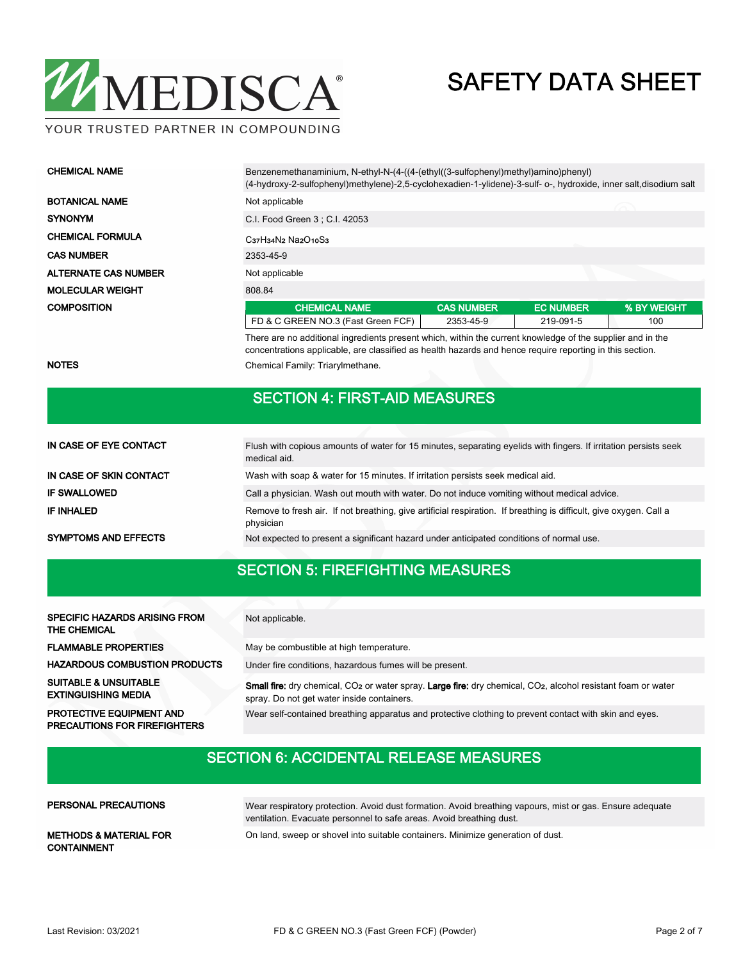

YOUR TRUSTED PARTNER IN COMPOUNDING

| <b>CHEMICAL NAME</b>        | Benzenemethanaminium, N-ethyl-N-(4-((4-(ethyl((3-sulfophenyl)methyl)amino)phenyl)<br>(4-hydroxy-2-sulfophenyl)methylene)-2,5-cyclohexadien-1-ylidene)-3-sulf- o-, hydroxide, inner salt,disodium salt |                   |                  |             |  |  |  |
|-----------------------------|-------------------------------------------------------------------------------------------------------------------------------------------------------------------------------------------------------|-------------------|------------------|-------------|--|--|--|
| <b>BOTANICAL NAME</b>       | Not applicable                                                                                                                                                                                        |                   |                  | œ           |  |  |  |
| <b>SYNONYM</b>              | C.I. Food Green 3 ; C.I. 42053                                                                                                                                                                        |                   |                  |             |  |  |  |
| <b>CHEMICAL FORMULA</b>     | C <sub>37</sub> H <sub>34</sub> N <sub>2</sub> Na <sub>2</sub> O <sub>10</sub> S <sub>3</sub>                                                                                                         |                   |                  |             |  |  |  |
| <b>CAS NUMBER</b>           | 2353-45-9                                                                                                                                                                                             |                   |                  |             |  |  |  |
| <b>ALTERNATE CAS NUMBER</b> | Not applicable                                                                                                                                                                                        |                   |                  |             |  |  |  |
| <b>MOLECULAR WEIGHT</b>     | 808.84                                                                                                                                                                                                |                   |                  |             |  |  |  |
| <b>COMPOSITION</b>          | <b>CHEMICAL NAME</b>                                                                                                                                                                                  | <b>CAS NUMBER</b> | <b>EC NUMBER</b> | % BY WEIGHT |  |  |  |
|                             | FD & C GREEN NO.3 (Fast Green FCF)                                                                                                                                                                    | 2353-45-9         | 219-091-5        | 100         |  |  |  |

There are no additional ingredients present which, within the current knowledge of the supplier and in the concentrations applicable, are classified as health hazards and hence require reporting in this section.

NOTES **NOTES** Chemical Family: Triarylmethane.

### SECTION 4: FIRST-AID MEASURES

| IN CASE OF EYE CONTACT      | Flush with copious amounts of water for 15 minutes, separating eyelids with fingers. If irritation persists seek<br>medical aid. |
|-----------------------------|----------------------------------------------------------------------------------------------------------------------------------|
| IN CASE OF SKIN CONTACT     | Wash with soap & water for 15 minutes. If irritation persists seek medical aid.                                                  |
| <b>IF SWALLOWED</b>         | Call a physician. Wash out mouth with water. Do not induce vomiting without medical advice.                                      |
| <b>IF INHALED</b>           | Remove to fresh air. If not breathing, give artificial respiration. If breathing is difficult, give oxygen. Call a<br>physician  |
| <b>SYMPTOMS AND EFFECTS</b> | Not expected to present a significant hazard under anticipated conditions of normal use.                                         |

#### SECTION 5: FIREFIGHTING MEASURES

| <b>SPECIFIC HAZARDS ARISING FROM</b><br>THE CHEMICAL                   | Not applicable.                                                                                                                                                                     |
|------------------------------------------------------------------------|-------------------------------------------------------------------------------------------------------------------------------------------------------------------------------------|
| <b>FLAMMABLE PROPERTIES</b>                                            | May be combustible at high temperature.                                                                                                                                             |
| <b>HAZARDOUS COMBUSTION PRODUCTS</b>                                   | Under fire conditions, hazardous fumes will be present.                                                                                                                             |
| <b>SUITABLE &amp; UNSUITABLE</b><br><b>EXTINGUISHING MEDIA</b>         | Small fire: dry chemical, CO <sub>2</sub> or water spray. Large fire: dry chemical, CO <sub>2</sub> , alcohol resistant foam or water<br>spray. Do not get water inside containers. |
| <b>PROTECTIVE EQUIPMENT AND</b><br><b>PRECAUTIONS FOR FIREFIGHTERS</b> | Wear self-contained breathing apparatus and protective clothing to prevent contact with skin and eyes.                                                                              |

### SECTION 6: ACCIDENTAL RELEASE MEASURES

| PERSONAL PRECAUTIONS                                    | Wear respiratory protection. Avoid dust formation. Avoid breathing vapours, mist or gas. Ensure adequate<br>ventilation. Evacuate personnel to safe areas. Avoid breathing dust. |
|---------------------------------------------------------|----------------------------------------------------------------------------------------------------------------------------------------------------------------------------------|
| <b>METHODS &amp; MATERIAL FOR</b><br><b>CONTAINMENT</b> | On land, sweep or shovel into suitable containers. Minimize generation of dust.                                                                                                  |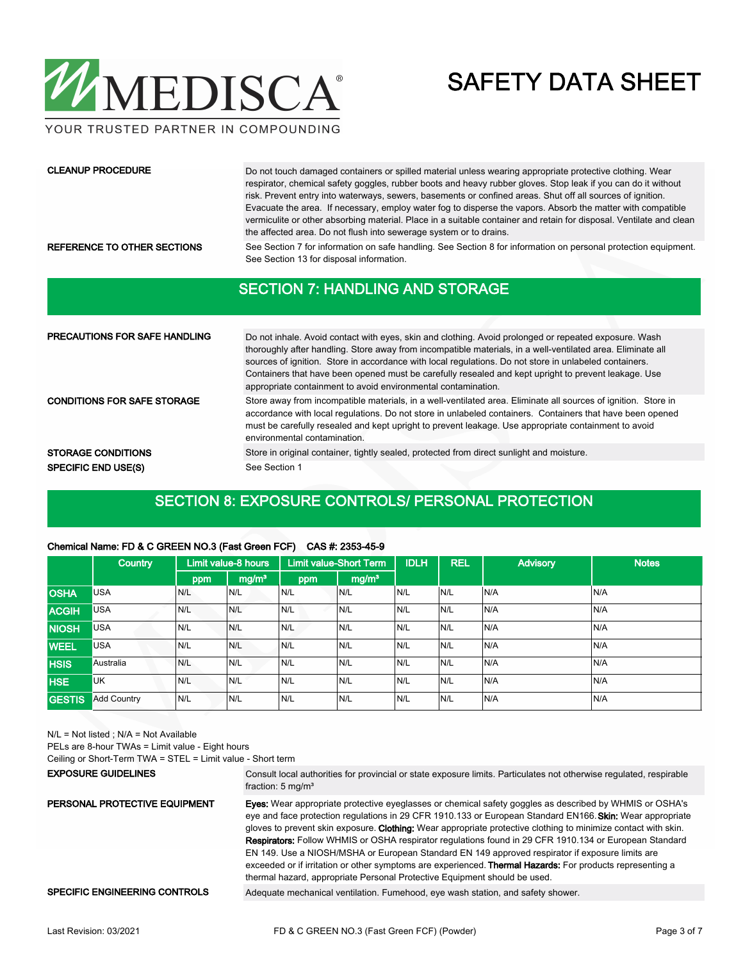

YOUR TRUSTED PARTNER IN COMPOUNDING

#### CLEANUP PROCEDURE

Do not touch damaged containers or spilled material unless wearing appropriate protective clothing. Wear respirator, chemical safety goggles, rubber boots and heavy rubber gloves. Stop leak if you can do it without risk. Prevent entry into waterways, sewers, basements or confined areas. Shut off all sources of ignition. Evacuate the area. If necessary, employ water fog to disperse the vapors. Absorb the matter with compatible vermiculite or other absorbing material. Place in a suitable container and retain for disposal. Ventilate and clean the affected area. Do not flush into sewerage system or to drains.

REFERENCE TO OTHER SECTIONS See Section 7 for information on safe handling. See Section 8 for information on personal protection equipment. See Section 13 for disposal information.

#### SECTION 7: HANDLING AND STORAGE

| <b>PRECAUTIONS FOR SAFE HANDLING</b> | Do not inhale. Avoid contact with eyes, skin and clothing. Avoid prolonged or repeated exposure. Wash<br>thoroughly after handling. Store away from incompatible materials, in a well-ventilated area. Eliminate all<br>sources of ignition. Store in accordance with local regulations. Do not store in unlabeled containers.<br>Containers that have been opened must be carefully resealed and kept upright to prevent leakage. Use<br>appropriate containment to avoid environmental contamination. |  |  |  |  |
|--------------------------------------|---------------------------------------------------------------------------------------------------------------------------------------------------------------------------------------------------------------------------------------------------------------------------------------------------------------------------------------------------------------------------------------------------------------------------------------------------------------------------------------------------------|--|--|--|--|
| <b>CONDITIONS FOR SAFE STORAGE</b>   | Store away from incompatible materials, in a well-ventilated area. Eliminate all sources of ignition. Store in<br>accordance with local regulations. Do not store in unlabeled containers. Containers that have been opened<br>must be carefully resealed and kept upright to prevent leakage. Use appropriate containment to avoid<br>environmental contamination.                                                                                                                                     |  |  |  |  |
| <b>STORAGE CONDITIONS</b>            | Store in original container, tightly sealed, protected from direct sunlight and moisture.                                                                                                                                                                                                                                                                                                                                                                                                               |  |  |  |  |
| <b>SPECIFIC END USE(S)</b>           | See Section 1                                                                                                                                                                                                                                                                                                                                                                                                                                                                                           |  |  |  |  |

#### SECTION 8: EXPOSURE CONTROLS/ PERSONAL PROTECTION

#### Chemical Name: FD & C GREEN NO.3 (Fast Green FCF) CAS #: 2353-45-9

|               | Country            |     | Limit value-8 hours |     | <b>Limit value-Short Term</b> | <b>IDLH</b> | <b>REL</b> | <b>Advisory</b> | <b>Notes</b> |
|---------------|--------------------|-----|---------------------|-----|-------------------------------|-------------|------------|-----------------|--------------|
|               |                    | ppm | mg/m <sup>3</sup>   | ppm | mg/m <sup>3</sup>             |             |            |                 |              |
| <b>OSHA</b>   | <b>USA</b>         | N/L | N/L                 | N/L | N/L                           | N/L         | N/L        | N/A             | N/A          |
| <b>ACGIH</b>  | <b>USA</b>         | N/L | N/L                 | N/L | N/L                           | N/L         | N/L        | N/A             | N/A          |
| <b>NIOSH</b>  | <b>USA</b>         | N/L | N/L                 | N/L | N/L                           | N/L         | N/L        | N/A             | N/A          |
| <b>WEEL</b>   | <b>USA</b>         | N/L | N/L                 | N/L | N/L                           | N/L         | N/L        | N/A             | N/A          |
| <b>HSIS</b>   | Australia          | N/L | N/L                 | N/L | N/L                           | N/L         | N/L        | N/A             | N/A          |
| <b>HSE</b>    | <b>UK</b>          | N/L | N/L                 | N/L | N/L                           | N/L         | N/L        | N/A             | N/A          |
| <b>GESTIS</b> | <b>Add Country</b> | N/L | N/L                 | N/L | N/L                           | N/L         | N/L        | N/A             | N/A          |

N/L = Not listed ; N/A = Not Available

PELs are 8-hour TWAs = Limit value - Eight hours

Ceiling or Short-Term TWA = STEL = Limit value - Short term

#### EXPOSURE GUIDELINES

Consult local authorities for provincial or state exposure limits. Particulates not otherwise regulated, respirable fraction: 5 mg/m<sup>3</sup>

Eyes: Wear appropriate protective eyeglasses or chemical safety goggles as described by WHMIS or OSHA's eye and face protection regulations in 29 CFR 1910.133 or European Standard EN166. Skin: Wear appropriate gloves to prevent skin exposure. Clothing: Wear appropriate protective clothing to minimize contact with skin. Respirators: Follow WHMIS or OSHA respirator regulations found in 29 CFR 1910.134 or European Standard EN 149. Use a NIOSH/MSHA or European Standard EN 149 approved respirator if exposure limits are exceeded or if irritation or other symptoms are experienced. Thermal Hazards: For products representing a thermal hazard, appropriate Personal Protective Equipment should be used. PERSONAL PROTECTIVE EQUIPMENT SPECIFIC ENGINEERING CONTROLS Adequate mechanical ventilation. Fumehood, eye wash station, and safety shower.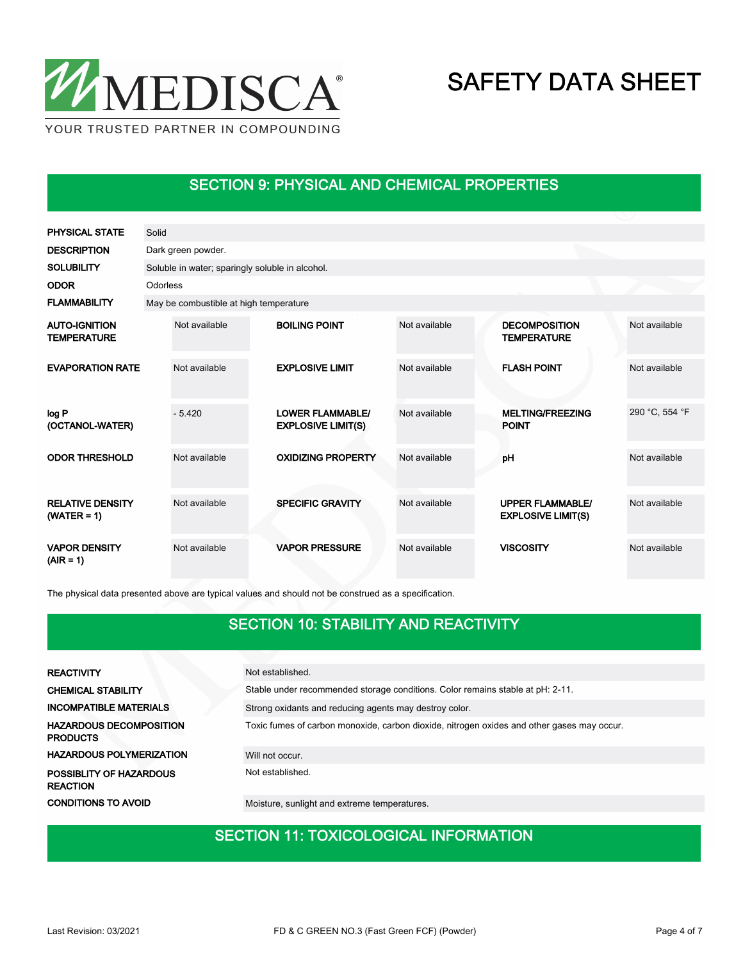

### SECTION 9: PHYSICAL AND CHEMICAL PROPERTIES

| <b>PHYSICAL STATE</b>                      | Solid    |                                                 |  |                                                      |               |  |                                                      |                |  |  |  |  |
|--------------------------------------------|----------|-------------------------------------------------|--|------------------------------------------------------|---------------|--|------------------------------------------------------|----------------|--|--|--|--|
| <b>DESCRIPTION</b>                         |          | Dark green powder.                              |  |                                                      |               |  |                                                      |                |  |  |  |  |
| <b>SOLUBILITY</b>                          |          | Soluble in water; sparingly soluble in alcohol. |  |                                                      |               |  |                                                      |                |  |  |  |  |
| <b>ODOR</b>                                | Odorless |                                                 |  |                                                      |               |  |                                                      |                |  |  |  |  |
| <b>FLAMMABILITY</b>                        |          | May be combustible at high temperature          |  |                                                      |               |  |                                                      |                |  |  |  |  |
| <b>AUTO-IGNITION</b><br><b>TEMPERATURE</b> |          | Not available                                   |  | <b>BOILING POINT</b>                                 | Not available |  | <b>DECOMPOSITION</b><br><b>TEMPERATURE</b>           | Not available  |  |  |  |  |
| <b>EVAPORATION RATE</b>                    |          | Not available                                   |  | <b>EXPLOSIVE LIMIT</b>                               | Not available |  | <b>FLASH POINT</b>                                   | Not available  |  |  |  |  |
| log P<br>(OCTANOL-WATER)                   |          | $-5.420$                                        |  | <b>LOWER FLAMMABLE/</b><br><b>EXPLOSIVE LIMIT(S)</b> | Not available |  | <b>MELTING/FREEZING</b><br><b>POINT</b>              | 290 °C, 554 °F |  |  |  |  |
| <b>ODOR THRESHOLD</b>                      |          | Not available                                   |  | <b>OXIDIZING PROPERTY</b>                            | Not available |  | pH                                                   | Not available  |  |  |  |  |
| <b>RELATIVE DENSITY</b><br>$(WATER = 1)$   |          | Not available                                   |  | <b>SPECIFIC GRAVITY</b>                              | Not available |  | <b>UPPER FLAMMABLE/</b><br><b>EXPLOSIVE LIMIT(S)</b> | Not available  |  |  |  |  |
| <b>VAPOR DENSITY</b><br>$(AIR = 1)$        |          | Not available                                   |  | <b>VAPOR PRESSURE</b>                                | Not available |  | <b>VISCOSITY</b>                                     | Not available  |  |  |  |  |

The physical data presented above are typical values and should not be construed as a specification.

### SECTION 10: STABILITY AND REACTIVITY

| <b>REACTIVITY</b>                                 | Not established.                                                                           |
|---------------------------------------------------|--------------------------------------------------------------------------------------------|
| <b>CHEMICAL STABILITY</b>                         | Stable under recommended storage conditions. Color remains stable at pH: 2-11.             |
| <b>INCOMPATIBLE MATERIALS</b>                     | Strong oxidants and reducing agents may destroy color.                                     |
| <b>HAZARDOUS DECOMPOSITION</b><br><b>PRODUCTS</b> | Toxic fumes of carbon monoxide, carbon dioxide, nitrogen oxides and other gases may occur. |
| <b>HAZARDOUS POLYMERIZATION</b>                   | Will not occur.                                                                            |
| POSSIBLITY OF HAZARDOUS<br><b>REACTION</b>        | Not established.                                                                           |
| <b>CONDITIONS TO AVOID</b>                        | Moisture, sunlight and extreme temperatures.                                               |

#### SECTION 11: TOXICOLOGICAL INFORMATION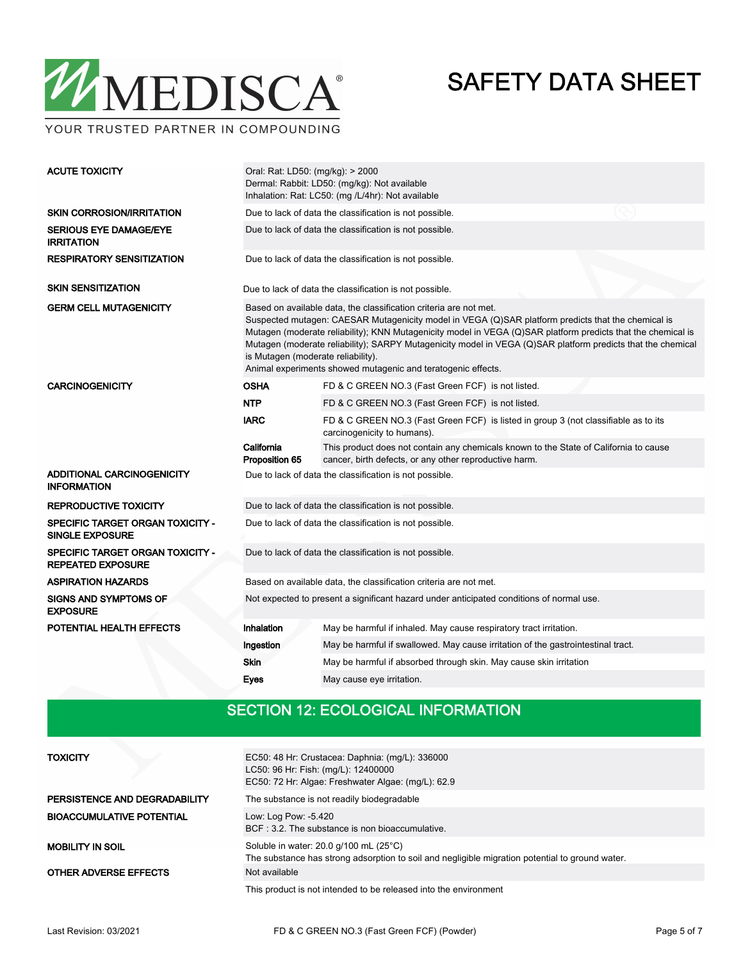

YOUR TRUSTED PARTNER IN COMPOUNDING

| <b>ACUTE TOXICITY</b>                                               | Oral: Rat: LD50: (mg/kg): > 2000<br>Dermal: Rabbit: LD50: (mg/kg): Not available<br>Inhalation: Rat: LC50: (mg /L/4hr): Not available                                                                                                                                                                                                                                                                                                                                                                        |                                                                                                                                                 |  |  |  |  |  |
|---------------------------------------------------------------------|--------------------------------------------------------------------------------------------------------------------------------------------------------------------------------------------------------------------------------------------------------------------------------------------------------------------------------------------------------------------------------------------------------------------------------------------------------------------------------------------------------------|-------------------------------------------------------------------------------------------------------------------------------------------------|--|--|--|--|--|
| <b>SKIN CORROSION/IRRITATION</b>                                    | Due to lack of data the classification is not possible.                                                                                                                                                                                                                                                                                                                                                                                                                                                      |                                                                                                                                                 |  |  |  |  |  |
| <b>SERIOUS EYE DAMAGE/EYE</b><br><b>IRRITATION</b>                  | Due to lack of data the classification is not possible.                                                                                                                                                                                                                                                                                                                                                                                                                                                      |                                                                                                                                                 |  |  |  |  |  |
| <b>RESPIRATORY SENSITIZATION</b>                                    | Due to lack of data the classification is not possible.                                                                                                                                                                                                                                                                                                                                                                                                                                                      |                                                                                                                                                 |  |  |  |  |  |
| <b>SKIN SENSITIZATION</b>                                           |                                                                                                                                                                                                                                                                                                                                                                                                                                                                                                              | Due to lack of data the classification is not possible.                                                                                         |  |  |  |  |  |
| <b>GERM CELL MUTAGENICITY</b>                                       | Based on available data, the classification criteria are not met.<br>Suspected mutagen: CAESAR Mutagenicity model in VEGA (Q)SAR platform predicts that the chemical is<br>Mutagen (moderate reliability); KNN Mutagenicity model in VEGA (Q)SAR platform predicts that the chemical is<br>Mutagen (moderate reliability); SARPY Mutagenicity model in VEGA (Q)SAR platform predicts that the chemical<br>is Mutagen (moderate reliability).<br>Animal experiments showed mutagenic and teratogenic effects. |                                                                                                                                                 |  |  |  |  |  |
| <b>CARCINOGENICITY</b>                                              | <b>OSHA</b>                                                                                                                                                                                                                                                                                                                                                                                                                                                                                                  | FD & C GREEN NO.3 (Fast Green FCF) is not listed.                                                                                               |  |  |  |  |  |
|                                                                     | <b>NTP</b>                                                                                                                                                                                                                                                                                                                                                                                                                                                                                                   | FD & C GREEN NO.3 (Fast Green FCF) is not listed.                                                                                               |  |  |  |  |  |
|                                                                     | <b>IARC</b>                                                                                                                                                                                                                                                                                                                                                                                                                                                                                                  | FD & C GREEN NO.3 (Fast Green FCF) is listed in group 3 (not classifiable as to its<br>carcinogenicity to humans).                              |  |  |  |  |  |
|                                                                     | California<br>Proposition 65                                                                                                                                                                                                                                                                                                                                                                                                                                                                                 | This product does not contain any chemicals known to the State of California to cause<br>cancer, birth defects, or any other reproductive harm. |  |  |  |  |  |
| ADDITIONAL CARCINOGENICITY<br><b>INFORMATION</b>                    | Due to lack of data the classification is not possible.                                                                                                                                                                                                                                                                                                                                                                                                                                                      |                                                                                                                                                 |  |  |  |  |  |
| <b>REPRODUCTIVE TOXICITY</b>                                        | Due to lack of data the classification is not possible.                                                                                                                                                                                                                                                                                                                                                                                                                                                      |                                                                                                                                                 |  |  |  |  |  |
| SPECIFIC TARGET ORGAN TOXICITY -<br><b>SINGLE EXPOSURE</b>          | Due to lack of data the classification is not possible.                                                                                                                                                                                                                                                                                                                                                                                                                                                      |                                                                                                                                                 |  |  |  |  |  |
| <b>SPECIFIC TARGET ORGAN TOXICITY -</b><br><b>REPEATED EXPOSURE</b> | Due to lack of data the classification is not possible.                                                                                                                                                                                                                                                                                                                                                                                                                                                      |                                                                                                                                                 |  |  |  |  |  |
| <b>ASPIRATION HAZARDS</b>                                           | Based on available data, the classification criteria are not met.                                                                                                                                                                                                                                                                                                                                                                                                                                            |                                                                                                                                                 |  |  |  |  |  |
| <b>SIGNS AND SYMPTOMS OF</b><br><b>EXPOSURE</b>                     | Not expected to present a significant hazard under anticipated conditions of normal use.                                                                                                                                                                                                                                                                                                                                                                                                                     |                                                                                                                                                 |  |  |  |  |  |
| POTENTIAL HEALTH EFFECTS                                            | Inhalation                                                                                                                                                                                                                                                                                                                                                                                                                                                                                                   | May be harmful if inhaled. May cause respiratory tract irritation.                                                                              |  |  |  |  |  |
|                                                                     | Ingestion                                                                                                                                                                                                                                                                                                                                                                                                                                                                                                    | May be harmful if swallowed. May cause irritation of the gastrointestinal tract.                                                                |  |  |  |  |  |
|                                                                     | <b>Skin</b>                                                                                                                                                                                                                                                                                                                                                                                                                                                                                                  | May be harmful if absorbed through skin. May cause skin irritation                                                                              |  |  |  |  |  |
|                                                                     | Eyes                                                                                                                                                                                                                                                                                                                                                                                                                                                                                                         | May cause eye irritation.                                                                                                                       |  |  |  |  |  |

### SECTION 12: ECOLOGICAL INFORMATION

| <b>TOXICITY</b>                  | EC50: 48 Hr: Crustacea: Daphnia: (mg/L): 336000<br>LC50: 96 Hr: Fish: (mg/L): 12400000<br>EC50: 72 Hr: Algae: Freshwater Algae: (mg/L): 62.9           |
|----------------------------------|--------------------------------------------------------------------------------------------------------------------------------------------------------|
| PERSISTENCE AND DEGRADABILITY    | The substance is not readily biodegradable                                                                                                             |
| <b>BIOACCUMULATIVE POTENTIAL</b> | Low: Log Pow: -5.420<br>$BCF: 3.2$ . The substance is non bioaccumulative.                                                                             |
| <b>MOBILITY IN SOIL</b>          | Soluble in water: $20.0$ g/100 mL ( $25^{\circ}$ C)<br>The substance has strong adsorption to soil and negligible migration potential to ground water. |
| <b>OTHER ADVERSE EFFECTS</b>     | Not available                                                                                                                                          |
|                                  | This product is not intended to be released into the environment                                                                                       |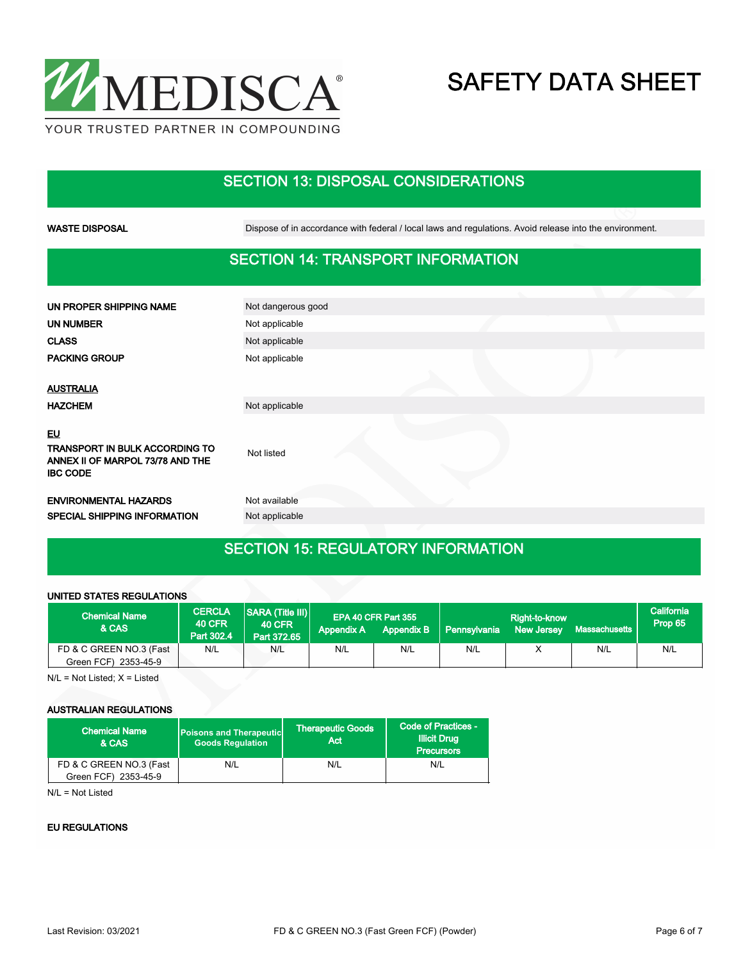

### SECTION 13: DISPOSAL CONSIDERATIONS

WASTE DISPOSAL **Dispose of in accordance with federal / local laws and regulations**. Avoid release into the environment.

#### SECTION 14: TRANSPORT INFORMATION

| UN PROPER SHIPPING NAME                                                                            | Not dangerous good |
|----------------------------------------------------------------------------------------------------|--------------------|
| <b>UN NUMBER</b>                                                                                   | Not applicable     |
| <b>CLASS</b>                                                                                       | Not applicable     |
| <b>PACKING GROUP</b>                                                                               | Not applicable     |
|                                                                                                    |                    |
| <b>AUSTRALIA</b>                                                                                   |                    |
| <b>HAZCHEM</b>                                                                                     | Not applicable     |
| EU<br><b>TRANSPORT IN BULK ACCORDING TO</b><br>ANNEX II OF MARPOL 73/78 AND THE<br><b>IBC CODE</b> | Not listed         |
| <b>ENVIRONMENTAL HAZARDS</b>                                                                       | Not available      |
| SPECIAL SHIPPING INFORMATION                                                                       | Not applicable     |
|                                                                                                    |                    |

### SECTION 15: REGULATORY INFORMATION

#### UNITED STATES REGULATIONS

| <b>Chemical Name</b><br>& CAS                   | <b>CERCLA</b><br><b>40 CFR</b><br>Part 302.4 | <b>SARA (Title III)</b><br><b>40 CFR</b><br>Part 372.65 | <b>Appendix A</b> | EPA 40 CFR Part 355<br><b>Appendix B</b> | <b>Pennsylvania</b> | Right-to-know<br>New Jersey | Massachusetts | California<br>Prop 65 |
|-------------------------------------------------|----------------------------------------------|---------------------------------------------------------|-------------------|------------------------------------------|---------------------|-----------------------------|---------------|-----------------------|
| FD & C GREEN NO.3 (Fast<br>Green FCF) 2353-45-9 | N/L                                          | N/L                                                     | N/L               | N/L                                      | N/L                 |                             | N/L           | N/L                   |

N/L = Not Listed; X = Listed

#### AUSTRALIAN REGULATIONS

| <b>Chemical Name</b><br>& CAS                   | <b>Poisons and Therapeutic</b><br><b>Goods Requlation</b> |     | Code of Practices -<br><b>Illicit Drug</b><br><b>Precursors</b> |  |
|-------------------------------------------------|-----------------------------------------------------------|-----|-----------------------------------------------------------------|--|
| FD & C GREEN NO.3 (Fast<br>Green FCF) 2353-45-9 | N/L                                                       | N/L | N/L                                                             |  |

N/L = Not Listed

#### EU REGULATIONS